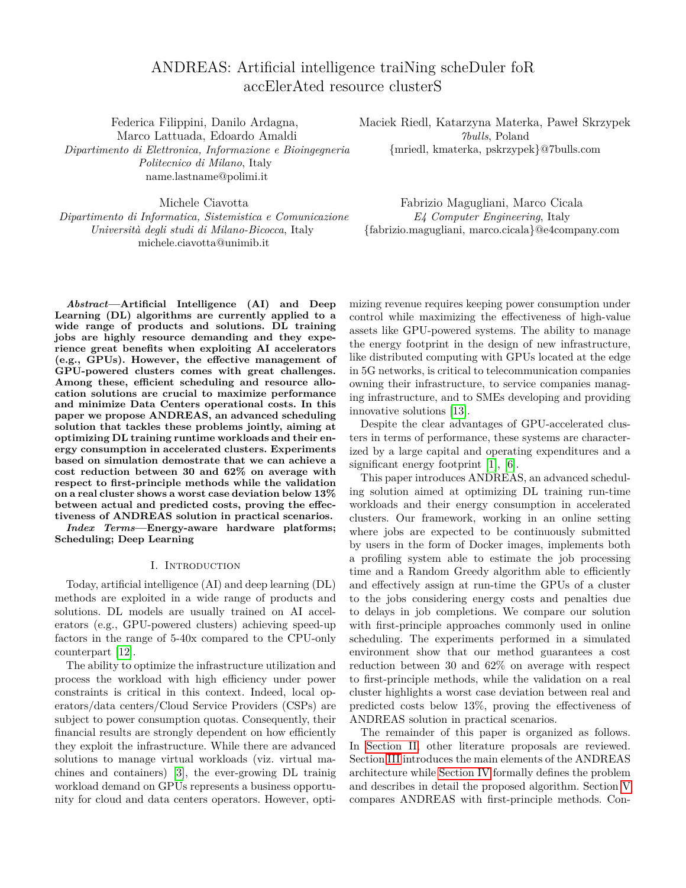# ANDREAS: Artificial intelligence traiNing scheDuler foR accElerAted resource clusterS

Federica Filippini, Danilo Ardagna, Marco Lattuada, Edoardo Amaldi *Dipartimento di Elettronica, Informazione e Bioingegneria Politecnico di Milano*, Italy name.lastname@polimi.it

Michele Ciavotta *Dipartimento di Informatica, Sistemistica e Comunicazione Università degli studi di Milano-Bicocca*, Italy michele.ciavotta@unimib.it

*Abstract***—Artificial Intelligence (AI) and Deep Learning (DL) algorithms are currently applied to a wide range of products and solutions. DL training jobs are highly resource demanding and they experience great benefits when exploiting AI accelerators (e.g., GPUs). However, the effective management of GPU-powered clusters comes with great challenges. Among these, efficient scheduling and resource allocation solutions are crucial to maximize performance and minimize Data Centers operational costs. In this paper we propose ANDREAS, an advanced scheduling solution that tackles these problems jointly, aiming at optimizing DL training runtime workloads and their energy consumption in accelerated clusters. Experiments based on simulation demostrate that we can achieve a cost reduction between 30 and 62% on average with respect to first-principle methods while the validation on a real cluster shows a worst case deviation below 13% between actual and predicted costs, proving the effectiveness of ANDREAS solution in practical scenarios.**

*Index Terms***—Energy-aware hardware platforms; Scheduling; Deep Learning**

#### I. INTRODUCTION

Today, artificial intelligence (AI) and deep learning (DL) methods are exploited in a wide range of products and solutions. DL models are usually trained on AI accelerators (e.g., GPU-powered clusters) achieving speed-up factors in the range of 5-40x compared to the CPU-only counterpart [\[12\]](#page-5-0).

The ability to optimize the infrastructure utilization and process the workload with high efficiency under power constraints is critical in this context. Indeed, local operators/data centers/Cloud Service Providers (CSPs) are subject to power consumption quotas. Consequently, their financial results are strongly dependent on how efficiently they exploit the infrastructure. While there are advanced solutions to manage virtual workloads (viz. virtual machines and containers) [\[3\]](#page-5-1), the ever-growing DL trainig workload demand on GPUs represents a business opportunity for cloud and data centers operators. However, optiMaciek Riedl, Katarzyna Materka, Paweł Skrzypek *7bulls*, Poland {mriedl, kmaterka, pskrzypek}@7bulls.com

Fabrizio Magugliani, Marco Cicala *E4 Computer Engineering*, Italy {fabrizio.magugliani, marco.cicala}@e4company.com

mizing revenue requires keeping power consumption under control while maximizing the effectiveness of high-value assets like GPU-powered systems. The ability to manage the energy footprint in the design of new infrastructure, like distributed computing with GPUs located at the edge in 5G networks, is critical to telecommunication companies owning their infrastructure, to service companies managing infrastructure, and to SMEs developing and providing innovative solutions [\[13\]](#page-5-2).

Despite the clear advantages of GPU-accelerated clusters in terms of performance, these systems are characterized by a large capital and operating expenditures and a significant energy footprint [\[1\]](#page-5-3), [\[6\]](#page-5-4).

This paper introduces ANDREAS, an advanced scheduling solution aimed at optimizing DL training run-time workloads and their energy consumption in accelerated clusters. Our framework, working in an online setting where jobs are expected to be continuously submitted by users in the form of Docker images, implements both a profiling system able to estimate the job processing time and a Random Greedy algorithm able to efficiently and effectively assign at run-time the GPUs of a cluster to the jobs considering energy costs and penalties due to delays in job completions. We compare our solution with first-principle approaches commonly used in online scheduling. The experiments performed in a simulated environment show that our method guarantees a cost reduction between 30 and 62% on average with respect to first-principle methods, while the validation on a real cluster highlights a worst case deviation between real and predicted costs below 13%, proving the effectiveness of ANDREAS solution in practical scenarios.

The remainder of this paper is organized as follows. In [Section II,](#page-1-0) other literature proposals are reviewed. Section [III](#page-1-1) introduces the main elements of the ANDREAS architecture while [Section IV](#page-1-2) formally defines the problem and describes in detail the proposed algorithm. Section [V](#page-3-0) compares ANDREAS with first-principle methods. Con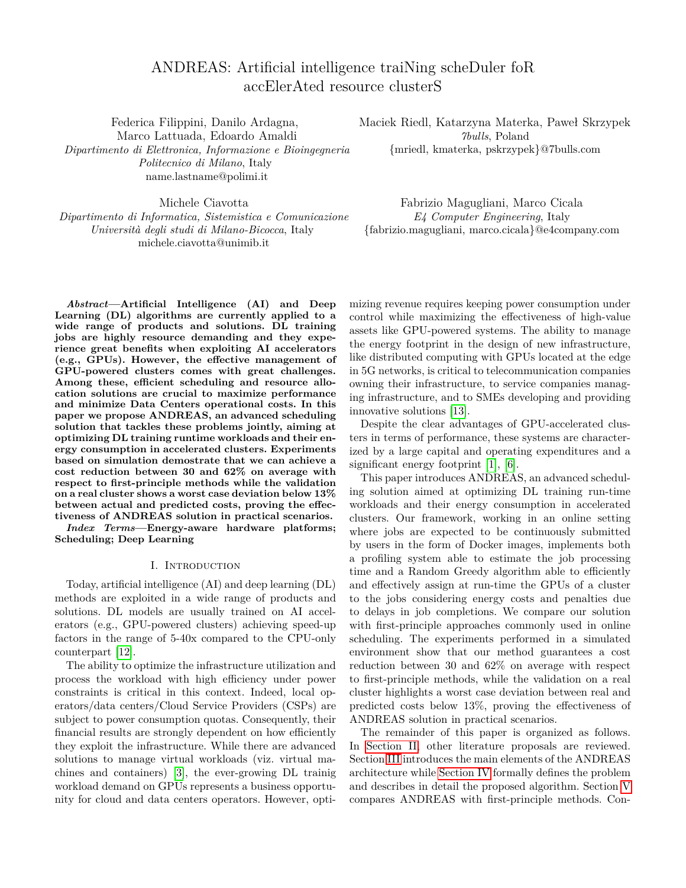<span id="page-1-0"></span>clusions are finally drawn in [Section VI.](#page-5-5)

# II. Related work

The effective management of GPU-accelerated clusters comes with great challenges. Among these, designing efficient scheduling and resource allocation solutions is crucial to maximize performance and minimize operational costs of data centers. Even if an increasing effort has been put in recent years in tackling both problems, they are often addressed separately, focusing either on jobs scheduling or on resource allocation. In this section, we briefly review previous work in both scenarios.

A resource allocation strategy for DL training jobs is proposed in [\[16\]](#page-5-6). Authors determine the optimal jobs batch size according to their scaling efficiency and combine a FIFO scheduling with a dynamic programming algorithm to determine an effective solution. Similarly, *Optimus* [\[14\]](#page-5-7) is a Kubernetes scheduler designed to manage DL jobs on a shared distributed containerized environment, which minimizes jobs training time by relying on online resourceperformance models. *DL*<sup>2</sup> [\[15\]](#page-5-8), also based on Kubernetes, dynamically allocates resources by exploiting Deep Reinforcement Learning instead of relying on analytical performance models and job profiling.

On the scheduling side, *Gandiva* [\[18\]](#page-5-9) focuses on tasks recurrent behaviours during the sequence of mini-batches iterations and proposes a preemptive, time-sharing scheduler for DL jobs.

GPU cluster managers closer to ANDREAS are *Tiresias* [\[8\]](#page-5-10), *Philly* [\[11\]](#page-5-11), and *FfDL* [\[10\]](#page-5-12), that implement integrated frameworks supporting the full training process and dealing with jobs submissions and execution. However, they focus only on the scheduling of DL training jobs, while the resources to be assigned to all applications are specified by the users.

# III. ANDREAS Architecture

<span id="page-1-1"></span>The high-level architecture of the ANDREAS framework is outlined in [Figure 1.](#page-2-0) ANDREAS includes three main components: the *Job Manager*, the *Job Profiler* and the *Job Optimizer*. Training applications are submitted by users in form of Docker images. The Job Manager receives the users' requests and orchestrates the execution of the submitted jobs as follows. First of all, the Job Profiler is invoked to collect information about the expected perepoch execution time of the submitted jobs on the different resources available in the system. One node (characterized by a given type and number of GPUs) is dedicated to collect these data, which are then stored in MariaDB. If the cluster is heterogeneous (i.e., it includes nodes with different CPU or GPU types), multiple nodes can be engaged in profiling activities; the profiling configuration can even be changed dynamically while production applications run.

The collected profiling data, together with a description of the system, with all available nodes, are provided to the

Job Optimizer, which is in charge of selecting the optimal deployment for the submitted jobs. In particular, the Job Optimizer exploits the algorithm described in the following section to determine which resource configuration should be used to deploy and run the different jobs. If the resources available in the system are insufficient to run all jobs concurrently, some of them are preempted, and their execution is postponed.

The Job Optimizer is invoked by the Job Manager periodically, or in reaction to re-scheduling events (viz., a new job submission or completion). The Job Manager deploys the jobs according to the optimization results, migrating the ones in progress among different GPUs if necessary.

# IV. ANDREAS Optimizer

<span id="page-1-2"></span>This section presents the main ANDREAS assumptions and describes the problem; then, it focuses on the Randomized Greedy algorithm we propose to solve it.

# *A. Assumptions and Problem Description*

This section addresses the capacity allocation problem solved by the Job Optimizer at every rescheduling point along with the main underpinning assumptions. The viewpoint of a CSP running a data center is considered. The data center is assumed to be composed by a set of heterogeneous nodes denoted by  $N = {n_1, n_2, ..., n_N}$ , with  $N = \frac{N}{N}$ . Each node is characterized by a specific type and number of available GPUs. The number of GPUs available on node *n* is identified by a set  $G_n = \{1, 2, ..., G_n\}$ . The node is characterized also by a cost per unit time *cng*, when *g* GPUs are in use. GPU homogeneity, however, is not preserved across different nodes.

Jobs are submitted continuously over time by several users, are profiled and executed by ANDREAS on a suitable node. Each node  $n \in \mathbb{N}$  can host multiple virtualized workloads, assigning in a dedicated fashion the available GPUs to jobs; a job, in turn, runs on a single node. In addition, since the number of available resources is limited, jobs that cannot be accommodated in the system are entered into a waiting set until the next rescheduling point. Let  $\vee$  represent the set of submitted jobs. Each job *j*  $\cup$  is characterized by a due date  $d_i$ , a tardiness penalty  $j$ , and a penalty to pay for postponing a job Furthermore, each job is associated with an execution time *tjng* that depends on the job, the number of GPUs *g* and their type, which in turn depends on the considered node *n*. The parameters and variables of the problem that are considered are reported in [Table I.](#page-2-1)

For each rescheduling point, the problem to be solved is a capacity allocation problem where for each job *j* it must be decided whether to execute it right away or to postpone it. In the former case, the system also has to determine in which node to host the job and the resources (GPUs) to assign to its execution. If jobs are preempted, they will restart from the last snapshot (under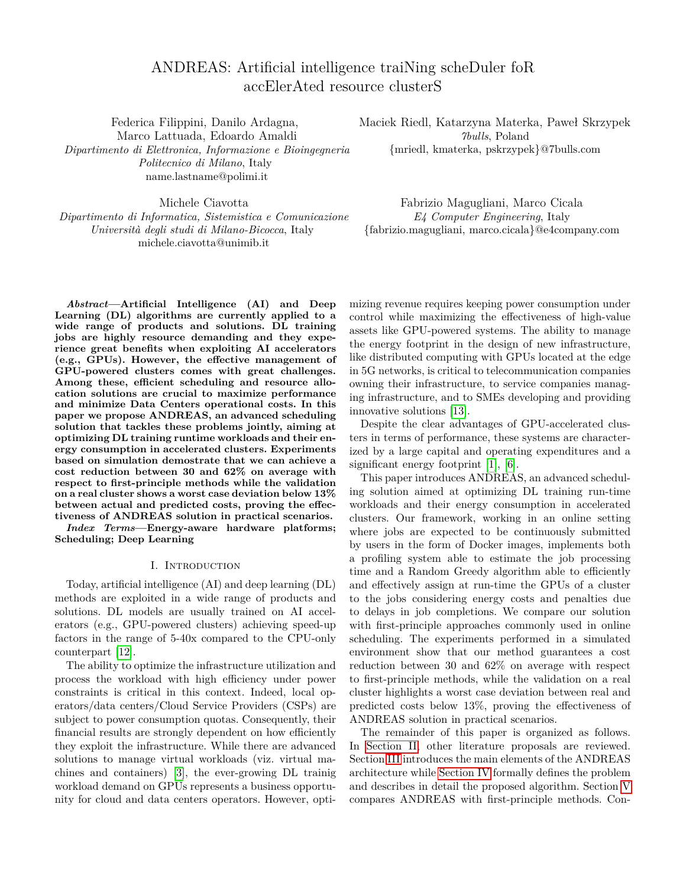<span id="page-2-0"></span>

Figure 1: ANDREAS framework. In the example, we consider five submitted jobs *j*1*, j*2*, j*3*, j*4*, j*5. Nodes *n*<sup>1</sup> to *n<sup>N</sup>* are equipped with a variable number of GPUs, of possibly dierent type, and have dierent energy costs. Jobs  $j_1$ ,  $j_2$  and  $j_5$  are deployed on  $n_1$ , running on 1 GPU and 2 GPUs, respectively. The other jobs are sent back to the queue and no other nodes are selected.

Table I: Problem parameters and variables

<span id="page-2-1"></span>

| Parameters                                    |                                                                   |  |  |
|-----------------------------------------------|-------------------------------------------------------------------|--|--|
| J                                             | set of submitted jobs                                             |  |  |
| $N_{-}$                                       | set of available nodes                                            |  |  |
| $G_{\cap}$                                    | set of available GPUs in each node n N                            |  |  |
| $G_n$                                         | number of available GPUs in each node $n \in \mathbb{N}$          |  |  |
|                                               | energy cost of each node $n \in N$ when g GPUs are used           |  |  |
| $\begin{bmatrix} c_{ng} \\ d_j \end{bmatrix}$ | due date of job $j$ $\cup$                                        |  |  |
| $\int$                                        | tardiness weight of job $j$ $\cup$                                |  |  |
| $t_{j,ng}$                                    | execution time of job $j \rightarrow$ when running on q GPUs on   |  |  |
|                                               | node $n \mathcal{N}$                                              |  |  |
|                                               | penalty coe cient for postponed jobs                              |  |  |
| Variables                                     |                                                                   |  |  |
| $W_{\cap}$                                    | 1 if node $n \, N$ is chosen                                      |  |  |
| $\frac{1}{j}$                                 | tardiness of job $j$ $J$                                          |  |  |
|                                               | worst-case tardiness of job $j$ $\cup$                            |  |  |
| $\sqrt{n}$                                    | operation cost of job $j \rightarrow o$ on node $n \rightarrow N$ |  |  |
| $\sum$                                        | 1 if job $j \quad J$ is the first ending job on node $n \quad N$  |  |  |

the assumption that a snapshot of the DL model weight is taken every few epochs).

The primary objective of ANDREAS is to minimize costs, including tardiness-caused penalties and energy related execution costs (including, e.g., air conditioning, UPS overhead, etc.). Nonetheless, the Job Optimizer at each rescheduling point considers a problem with a much narrower scope making it challenging to estimate the impact of decisions on the overall cost. For this reason, the following proxy function, denoted by  $f_{OBJ}$ , is considered:

$$
\min \qquad (j \quad j + j^2) + \qquad \qquad \text{in} \quad jn \quad \text{(1)}
$$

In particular, the proxy is expressed by two terms: the first one represents the job tardiness and the worstcase tardiness penalty costs (where  $\hat{i}$  is the tardiness a job may incur in if it is postponed to the next period).

The second term, in turn, takes into account operation costs of the fastest jobs on all nodes;  $\mu$  is 1 if job *j* is the first-ending job on node  $n$  while  $i_n$  represents its execution cost. This function has been designed with the precise aim of penalizing configurations with delayed jobs and, at the same time, incentivizing solutions with shortduration jobs. In this way, ANDREAS can provide a lower average job latency. In addition, since the Job Optimizer is invoked every time the fastest job finishes its execution, such a proxy function tends to promote higher system responsiveness and better control over the quality of the overall schedule.

For a matter of space, the complete Mixed Integer Non-Linear Programming (MINLP) formulation of the problem is reported in Appendix A of [\[4\]](#page-5-13).

# *B. ANDREAS Randomized Greedy algorithm*

The randomized greedy heuristic that we have developed for the capacity allocation problem is based on the following criteria and assumptions.

• Jobs are selected according to their pressure, which is an index that measures how close they are to the due date when executed with the fastest configuration. For each job *j*  $\cup$ , the pressure  $\Delta_i$  is:

$$
j = T_c + \min_{\substack{D \\ g \\ G_D}} \{t_{j \, ng}\} - d_j,
$$
 (2)

where  $\mathcal{T}_c$  denotes the current scheduling time.

• The best configuration  $(n, g)$   $\land$   $\times$   $G_n$  for each selected job is either (i) the cheapest configuration such that the job is executed before its due date, if such a configuration exists, or (ii) the fastest available configuration if, independently from the selected setup, it is not possible to execute the job before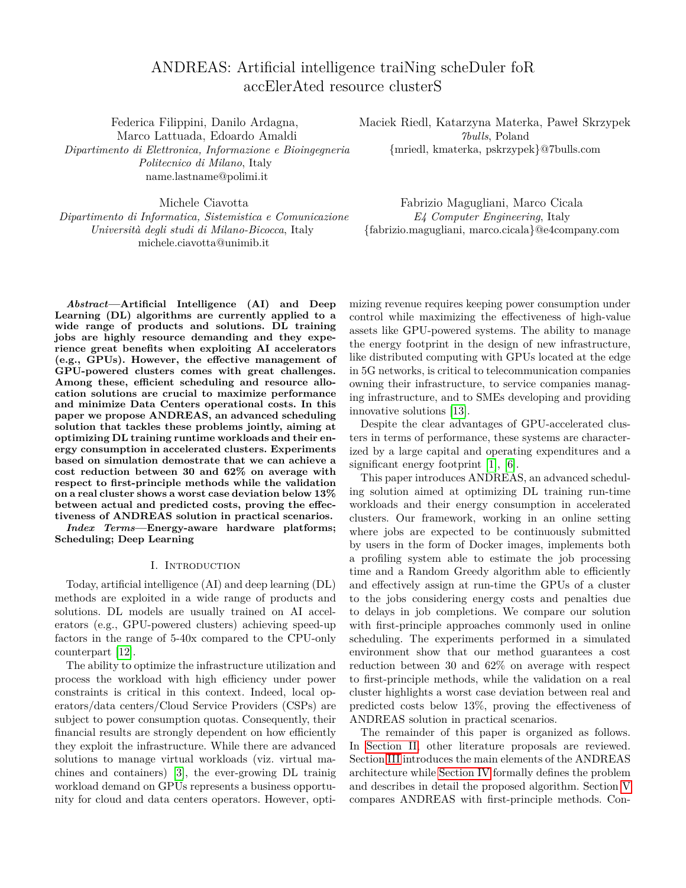## <span id="page-3-1"></span>**Algorithm 1** Randomized construction procedure

|     | 1: function RANDOMIZED_CONSTRUCTION( $J$ , , MAXIT <sub>RG</sub> )      |
|-----|-------------------------------------------------------------------------|
| 2:  | $iter = 0$                                                              |
| 3:  | $S_{\text{best}}$ empty schedule                                        |
| 4:  | while iter $\langle$ Maxit <sub>RG</sub> do                             |
| 5:  | S empty schedule<br>S: current schedule                                 |
| 6:  | $J_S$ sort_JOBS_LIST( $J$ , ) : pressures of all jobs                   |
| 7:  | for all $j \cup_{s}$ do<br>$\cup_{\scriptscriptstyle S}$ : sorted queue |
| 8:  | $D_i = \{(n, g) \text{ s.t. } t_{j \cap g} + T_c < d_j \}$              |
| 9:  | $(\hat{n}, g)$ SELECT_BEST_CONFIGURATION $(j, D_j)$                     |
| 10: | assigned $\text{ASSIGN}(j, (n, g), N_{\odot})$                          |
| 11: | if not assigned then                                                    |
| 12: | ASSIGN_TO_SUBOPTIMAL $(j, S, N_{\bigcirc})$                             |
| 13: | else                                                                    |
| 14: | $S$ $S$ $(j, n, g)$                                                     |
| 15: | end if                                                                  |
| 16: | $J_{S}$ $J_{S}$ \ { <b>j</b> }                                          |
| 17: | end for                                                                 |
| 18: | if $f_{\text{OBJ}}(S) < f_{\text{OBJ}}(S_{\text{best}})$ then           |
| 19: | $S_{\text{best}}$ S                                                     |
| 20: | end if                                                                  |
| 21: | iter iter $+1$                                                          |
|     | 22: end while                                                           |
|     | 23: return S <sub>best</sub>                                            |
|     | 24: end function                                                        |

its due date. Since in our framework the time unit execution cost of a job on any available configuration is always lower than the penalty incurred if the job due date is violated, it is reasonable to choose the cheapest configuration as long as the due date can be met, while, if it is violated, it is more convenient to complete the job execution as fast as possible to reduce the corresponding penalty.

• Execution costs increase linearly with the number of GPUs, as demonstrated by GPU-based servers energy profiles [\[10\]](#page-5-12), while the speedup of the processing time is sublinear in the number of GPUs, as observed in GPU-based application benchmarks [\[5\]](#page-5-14).

The randomized greedy algorithm, which is summarized in [Algorithm 1,](#page-3-1) receives as input the set of jobs  $\cup$  in the queue, their pressures and a maximum number of iterations, and returns a solution specifying for every job whether to execute it and the corresponding configuration. At each iteration, a candidate solution *S* is constructed via randomized greedy choices and is stored in *Sbest* if  $f_{\text{OBJ}}(S) < f_{\text{OBJ}}(S_{\text{best}})$ .

At line 6, the set  $\mathcal I$  of submitted jobs is sorted, producing as output a new set denoted by  $\mathcal{J}_s$ . Note that job  $\dot{J}$ precedes job *k* in  $\mathcal{S}_s$  if and only if  $\Delta_j > \Delta_k$ , i.e., job *j* is more likely to violate its due date. As a first randomization step, some jobs in  $\mathcal{J}_s$  can be swapped, with probability inversely proportional to their tardiness weight.

For all jobs  $j$  in the sorted list  $\mathcal{J}_s$ , the set of configurations (i.e., pairs made by a node and a certain number of GPUs) such that the job can be executed within its due date (determined by the condition  $t_{j,q} + T_c < d_j$ ) is defined, in line 8, as:

$$
D_j = \{ (n, g) \quad N \times G_n : T_c + t_{j \, ng} < d_j \}.
$$

The set *D<sup>j</sup>* is used to select the best configuration for job *j*, according to the following rules. Since one of the main contributions to the total cost of the schedule is the penalty for due date violations, we always try to select configurations that guarantee to complete the jobs without tardiness (or with the least possible delay, if there is no possibility to match the required due date). Therefore, we define the optimal configuration as:

$$
(n, g) = \operatorname{argmin}_{D_j^*} \{t_{j \, ng} c_{n g}\} \quad \text{if } D_j = \operatorname{argmin}_{D_j \, N, g \, G_n} \{t_{j \, ng}\} \quad \text{otherwise.}
$$

In the first case, the set  $D_j$  is not empty, which entails that there exist configurations  $(n, g)$  such that the job can be executed before its due date. In this case, (*n , g* ) is identified by the cheapest configuration, i.e., by the element in  $D_i$  with minimum cost (identified by the product between the time-unit cost *cng* and the expected execution time  $t_{jng}$ ). In the second case, the job due date is violated with any available configuration, therefore we select the one that guarantees the minimum expected execution time, in order to reduce the tardiness as much as possible. The algorithm explores the space of possible configuration by introducing some randomness in the the configuration selection process, where, instead of choosing the configuration according to the rule defined above, it selects as candidate configuration for job  $j$  one of the  $(n, g)$ with lower cost, with probability inversely proportional to the cost itself. Having denoted by (*n , g* ) the selected configuration for job *j*, the assignment proceeds as follows:

- 1) The algorithm tries to assign job *j* to the required node *n* , provided that the number of available GPUs in  $n$  is enough to assign  $g$  of them to job  $j$ .
- 2) If this assignment is not feasible, it tries to assign job *j* to a suboptimal configuration available in an open node. Iteratively, it loops over the elements in  $D_j$  until it finds a configuration that fits in any node  $n \wedge N_O$ . it finds a configuration that fits in any node  $n$

# V. Experimental Analysis

<span id="page-3-0"></span>This section describes the results obtained through an experimental campaign, aiming at assessing the effectiveness of ANDREAS framework in real-case scenarios.

The experimental campaign involved heterogeneous Deep Learning jobs based on different network types, namely multi-layer LSTM [\[9\]](#page-5-15), EfficientNet [\[17\]](#page-5-16), and simple Convolutional Neural Networks [\[7\]](#page-5-17), referred to in the following as ConvolutionNet. All the jobs were implemented relying on TensorFlow 2 and during the training model weights snapshots are taken every epoch. The Job Optimizer has been configured with  $MaxIt_{RG} = 1,000$  All experiments described in the following sections have been performed relying on ARMIDA (ARM Infrastructure for the Development of Applications) infrastructure, a test & development 8-node cluster located at E4's premises. ARMIDA configuration is detailed in Appendix B of [\[4\]](#page-5-13). The types and numbers of GPUs available are summarized in [Table II.](#page-4-0)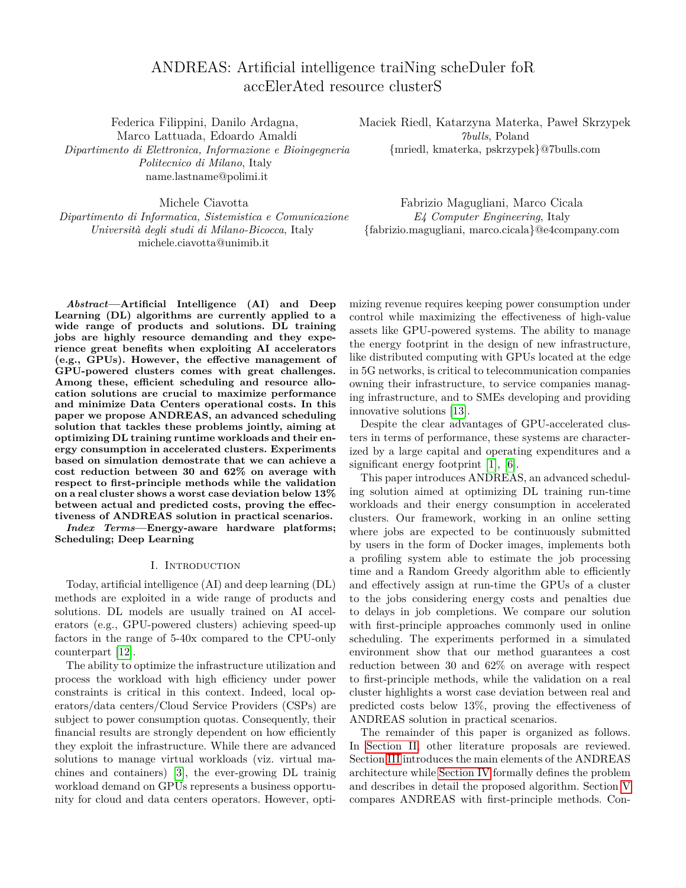<span id="page-4-0"></span>Table II: Configurations available in ARMIDA

| Node ID   | <b>GPU type</b>             | $#$ GPU |
|-----------|-----------------------------|---------|
| armida-04 | Nvidia Tesla V100-PCIE 32GB |         |
| armida-05 | Nvidia Tesla V100-PCIE 32GB |         |
| armida-06 | Nvidia Tesla V100-PCIE 32GB |         |
| armida-07 | Nvidia Tesla T4 (TURING)    |         |

# *A. Profiling Analysis*

The profiling analysis described in this section has been performed to measure the power consumption of ARMIDA nodes and GPUs, as well as the expected execution times of the considered applications on all the configurations available in the reference hardware system. The profiling has been performed through ExaMon (Exascale Monitoring) a highly scalable framework for the performance and energy monitoring of HPC servers [\[2\]](#page-5-18).

The power consumption of ARMIDA nodes allowed to compute the hourly energy costs (starting from the base cost of 0.172 EUR/KWh) used by the optimizer to determine the best assignment for the different jobs, according to the different configurations. To evaluate also the energy consumption due to the air conditioning system, the UPS and other overheads of a data center environment, the energy costs has been inflated by considering a PUE (Power Usage Effectiveness) [\[6\]](#page-5-4) equal to 1.33, which is the value measured in the ARMIDA setup.

### *B. Simulations*

The results that can be achieved by exploiting the ANDREAS optimizer at a larger scale have been evaluated through a set of simulations, comparing the outcome of the Randomized Greedy (RG) algorithm against first-principle methods as First In First Out (FIFO), Earliest Deadline First (EDF) and Priority Scheduling (PS), as it is done in other literature proposals [\[1\]](#page-5-3).

Different instances of the experiments have been generated by randomly selecting a set of DL jobs with different characteristics in terms of batch sizes and number of required training epochs. We have considered multiple scenarios, involving a number *N* of nodes varying from 10 to 100, and a number of jobs  $J = 10N$ . Jobs inter-arrivals are characterized by a *mixed* rate, generated as described in [\[16\]](#page-5-6). The characteristics of nodes are similar to those reported in [Table II.](#page-4-0) Specifically, half of them are equipped with GPUs of type TeslaV100, while the others with GPUs of type TURING. We have considered two different cases: in the first one, nodes are characterized by two TeslaV100 GPUs or by one TURING; in the second case nodes with four TeslaV100 or two TURING GPUs are considered. The parameter for penalizing jobs postponements has been set to 100.

The results of the RG algorithm and of FIFO, EDF and PS methods in the first scenario are reported in [Figure 3.](#page-5-19) The first plot reports the expected energy costs of jobs execution, while the second shows the total cost, which is the sum of the energy cost plus the penalties due to jobs' due dates violations. A significant reduction, of around 62% on average, is obtained considering the total costs. Indeed, first-principle methods never change the configuration assigned to a job once it has been started, which entails that, if jobs with higher priority are submitted after long-running jobs with lower priority, they have to wait for them to be completed before receiving resources. The third plot shows the expected time required to completely execute the training of all the *J* jobs submitted to the system. The reduction guaranteed by the RG algorithm helps in minimizing the probability that jobs due dates are violated, consequently reducing the corresponding penalty costs. Finally, the last plot reports the time required to the optimizer to solve one instance of the problem, answering the call of the Job Manager providing the schedule of all jobs. Even if our RG algorithm requires a longer time than first-principle methods to provide a solution, this time remains always below 0.1 seconds, which is significantly lower than the time required to reconfigure the system.

The results of the RG algorithm and of FIFO, EDF and PS methods in the second scenario are reported in [Fig](#page-5-20)[ure 2.](#page-5-20) Again, it is possible to notice that the average cost reduction guaranteed by the RG algorithm is of almost 30%, while the time required to determine a solution is lower than 0.01 seconds on average.

# *C. Validation in the ARMIDA setup*

The results provided by the ANDREAS framework have been validated in the ARMIDA setup by considering a prototype system including 8 different jobs. Their characteristics are summarized in Table V of Appendix B [\[4\]](#page-5-13). The inter-arrival time has been set to 1200s. This is an accelerated scenario, in terms of submission frequency and average execution times of applications. Nonetheless, this does not affect the results effectiveness since the workload assigned to the available nodes is comparable to practical situations [\[16\]](#page-5-6).

The system is composed by three nodes, which correspond to armida-05, armida-06 and armida-07 as described in [Table II;](#page-4-0) the node armida-04 is not considered, since it is dedicated to profiling. The aim of this experiment was to assess the accuracy of our framework, by measuring the gap between the predicted energy costs and the actual costs measured in the ARMIDA nodes.

The sequence of jobs executions, with the relative configurations, is reported in Figure 4 of Appendix B in [\[4\]](#page-5-13). It is possible to observe both processes that characterize the decisions of the RG method: first of all, GPU sharing, that can be observed for instance when J10 is submitted and it is assigned to armida-06 together with J6. Then, preemption, that comes into place, for instance, when J2 is submitted: since it has a stricter due date than J7, it is immediately deployed on armida-07, while the execution of the latter is postponed to a future scheduling point.

Figure 5 in Appendix B of [\[4\]](#page-5-13) reports the power consumption of ARMIDA nodes during the full experiment session. This has been used to compute the actual energy